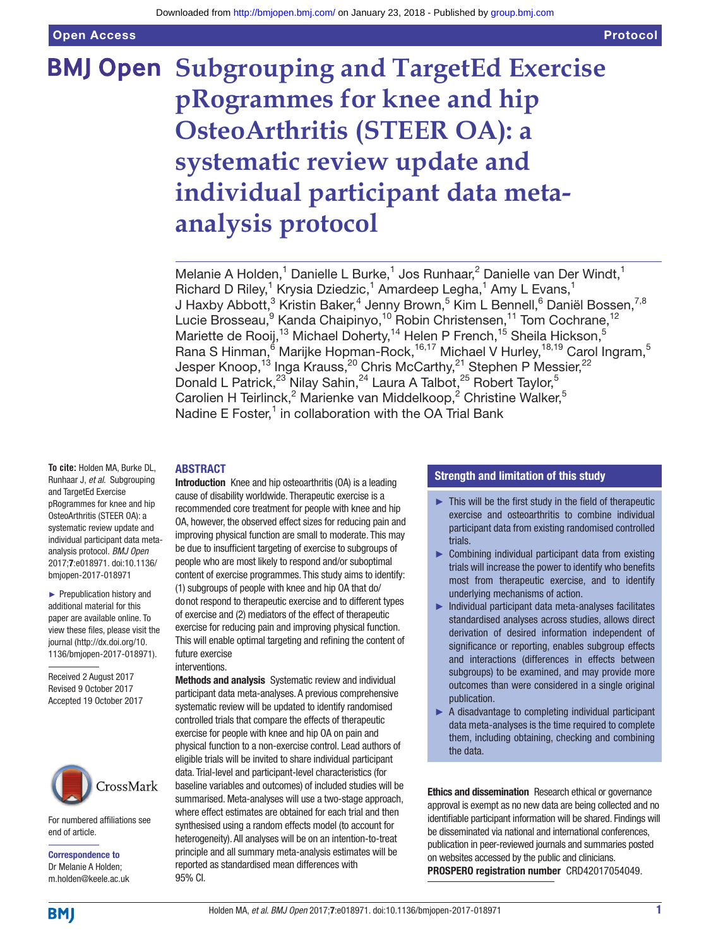Open Access

# **BMJ Open Subgrouping and TargetEd Exercise pRogrammes for knee and hip OsteoArthritis (STEER OA): a systematic review update and individual participant data metaanalysis protocol**

Melanie A Holden,<sup>1</sup> Danielle L Burke,<sup>1</sup> Jos Runhaar,<sup>2</sup> Danielle van Der Windt,<sup>1</sup> Richard D Riley,<sup>1</sup> Krysia Dziedzic,<sup>1</sup> Amardeep Legha,<sup>1</sup> Amy L Evans,<sup>1</sup> J Haxby Abbott,<sup>3</sup> Kristin Baker,<sup>4</sup> Jenny Brown,<sup>5</sup> Kim L Bennell,<sup>6</sup> Daniël Bossen,<sup>7,8</sup> Lucie Brosseau, <sup>9</sup> Kanda Chaipinyo, <sup>10</sup> Robin Christensen, <sup>11</sup> Tom Cochrane, <sup>12</sup> Mariette de Rooij,<sup>13</sup> Michael Doherty,<sup>14</sup> Helen P French,<sup>15</sup> Sheila Hickson,<sup>5</sup> Rana S Hinman, <sup>6</sup> Marijke Hopman-Rock, <sup>16,17</sup> Michael V Hurley, <sup>18,19</sup> Carol Ingram, <sup>5</sup> Jesper Knoop, $^{13}$  Inga Krauss, $^{20}$  Chris McCarthy, $^{21}$  Stephen P Messier, $^{22}$ Donald L Patrick,<sup>23</sup> Nilay Sahin,<sup>24</sup> Laura A Talbot,<sup>25</sup> Robert Taylor,<sup>5</sup> Carolien H Teirlinck,<sup>2</sup> Marienke van Middelkoop,<sup>2</sup> Christine Walker,<sup>5</sup> Nadine E Foster,<sup>1</sup> in collaboration with the OA Trial Bank

#### **ABSTRACT**

**To cite:** Holden MA, Burke DL, Runhaar J, *et al*. Subgrouping and TargetEd Exercise pRogrammes for knee and hip OsteoArthritis (STEER OA): a systematic review update and individual participant data metaanalysis protocol. *BMJ Open* 2017;7:e018971. doi:10.1136/ bmjopen-2017-018971

► Prepublication history and additional material for this paper are available online. To view these files, please visit the journal [\(http://dx.doi.org/10.](http://dx.doi.org/10.1136/bmjopen-2017-018971) [1136/bmjopen-2017-018971\)](http://dx.doi.org/10.1136/bmjopen-2017-018971).

Received 2 August 2017 Revised 9 October 2017 Accepted 19 October 2017



For numbered affiliations see end of article.

Correspondence to Dr Melanie A Holden; m.holden@keele.ac.uk Introduction Knee and hip osteoarthritis (OA) is a leading cause of disability worldwide. Therapeutic exercise is a recommended core treatment for people with knee and hip OA, however, the observed effect sizes for reducing pain and improving physical function are small to moderate. This may be due to insufficient targeting of exercise to subgroups of people who are most likely to respond and/or suboptimal content of exercise programmes. This study aims to identify: (1) subgroups of people with knee and hip OA that do/ donot respond to therapeutic exercise and to different types of exercise and (2) mediators of the effect of therapeutic exercise for reducing pain and improving physical function. This will enable optimal targeting and refining the content of future exercise interventions.

Methods and analysis Systematic review and individual participant data meta-analyses. A previous comprehensive systematic review will be updated to identify randomised controlled trials that compare the effects of therapeutic exercise for people with knee and hip OA on pain and physical function to a non-exercise control. Lead authors of eligible trials will be invited to share individual participant data. Trial-level and participant-level characteristics (for baseline variables and outcomes) of included studies will be summarised. Meta-analyses will use a two-stage approach, where effect estimates are obtained for each trial and then synthesised using a random effects model (to account for heterogeneity). All analyses will be on an intention-to-treat principle and all summary meta-analysis estimates will be reported as standardised mean differences with 95% CI.

### Strength and limitation of this study

- $\blacktriangleright$  This will be the first study in the field of therapeutic exercise and osteoarthritis to combine individual participant data from existing randomised controlled trials.
- ► Combining individual participant data from existing trials will increase the power to identify who benefits most from therapeutic exercise, and to identify underlying mechanisms of action.
- ► Individual participant data meta-analyses facilitates standardised analyses across studies, allows direct derivation of desired information independent of significance or reporting, enables subgroup effects and interactions (differences in effects between subgroups) to be examined, and may provide more outcomes than were considered in a single original publication.
- ► A disadvantage to completing individual participant data meta-analyses is the time required to complete them, including obtaining, checking and combining the data.

Ethics and dissemination Research ethical or governance approval is exempt as no new data are being collected and no identifiable participant information will be shared. Findings will be disseminated via national and international conferences, publication in peer-reviewed journals and summaries posted on websites accessed by the public and clinicians. PROSPERO registration number CRD[42017054049.](42017054049)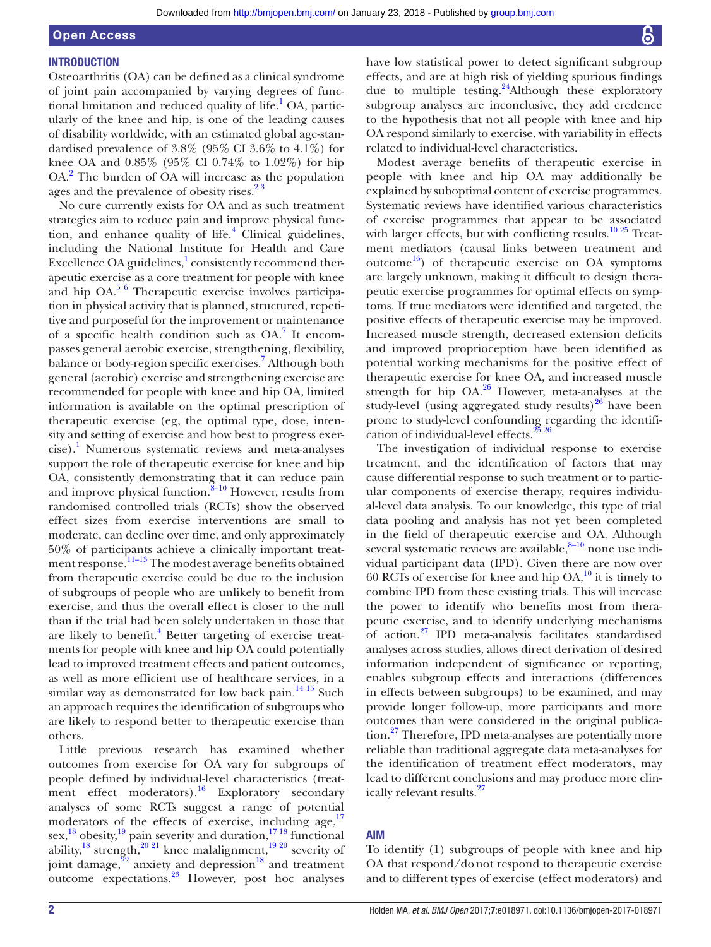# Open Access **INTRODUCTION**

Osteoarthritis (OA) can be defined as a clinical syndrome of joint pain accompanied by varying degrees of func-tional limitation and reduced quality of life.<sup>[1](#page-7-0)</sup> OA, particularly of the knee and hip, is one of the leading causes of disability worldwide, with an estimated global age-standardised prevalence of 3.8% (95% CI 3.6% to 4.1%) for knee OA and 0.85% (95% CI 0.74% to 1.02%) for hip OA.<sup>[2](#page-7-1)</sup> The burden of OA will increase as the population ages and the prevalence of obesity rises.<sup>23</sup>

No cure currently exists for OA and as such treatment strategies aim to reduce pain and improve physical function, and enhance quality of life.<sup>4</sup> Clinical guidelines, including the National Institute for Health and Care Excellence OA guidelines, $\frac{1}{2}$  consistently recommend therapeutic exercise as a core treatment for people with knee and hip OA.[5 6](#page-7-3) Therapeutic exercise involves participation in physical activity that is planned, structured, repetitive and purposeful for the improvement or maintenance of a specific health condition such as  $OA<sup>7</sup>$  It encompasses general aerobic exercise, strengthening, flexibility, balance or body-region specific exercises.<sup>[7](#page-7-4)</sup> Although both general (aerobic) exercise and strengthening exercise are recommended for people with knee and hip OA, limited information is available on the optimal prescription of therapeutic exercise (eg, the optimal type, dose, intensity and setting of exercise and how best to progress exercise)[.1](#page-7-0) Numerous systematic reviews and meta-analyses support the role of therapeutic exercise for knee and hip OA, consistently demonstrating that it can reduce pain and improve physical function. $8-10$  However, results from randomised controlled trials (RCTs) show the observed effect sizes from exercise interventions are small to moderate, can decline over time, and only approximately 50% of participants achieve a clinically important treatment response.<sup>11-13</sup> The modest average benefits obtained from therapeutic exercise could be due to the inclusion of subgroups of people who are unlikely to benefit from exercise, and thus the overall effect is closer to the null than if the trial had been solely undertaken in those that are likely to benefit.<sup>[4](#page-7-2)</sup> Better targeting of exercise treatments for people with knee and hip OA could potentially lead to improved treatment effects and patient outcomes, as well as more efficient use of healthcare services, in a similar way as demonstrated for low back pain. $^{14}$ <sup>15</sup> Such an approach requires the identification of subgroups who are likely to respond better to therapeutic exercise than others.

Little previous research has examined whether outcomes from exercise for OA vary for subgroups of people defined by individual-level characteristics (treatment effect moderators).<sup>16</sup> Exploratory secondary analyses of some RCTs suggest a range of potential moderators of the effects of exercise, including age, $17$ sex,<sup>18</sup> obesity,<sup>19</sup> pain severity and duration,<sup>1718</sup> functional ability,<sup>[18](#page-8-0)</sup> strength,<sup>20 21</sup> knee malalignment,<sup>19 20</sup> severity of joint damage,  $\frac{2}{2}$  anxiety and depression<sup>18</sup> and treatment outcome expectations.<sup>23</sup> However, post hoc analyses

have low statistical power to detect significant subgroup effects, and are at high risk of yielding spurious findings due to multiple testing.<sup>24</sup>Although these exploratory subgroup analyses are inconclusive, they add credence to the hypothesis that not all people with knee and hip OA respond similarly to exercise, with variability in effects related to individual-level characteristics.

Modest average benefits of therapeutic exercise in people with knee and hip OA may additionally be explained by suboptimal content of exercise programmes. Systematic reviews have identified various characteristics of exercise programmes that appear to be associated with larger effects, but with conflicting results. $\frac{10\,25}{25}$  Treatment mediators (causal links between treatment and outcome<sup>[16](#page-7-8)</sup>) of therapeutic exercise on OA symptoms are largely unknown, making it difficult to design therapeutic exercise programmes for optimal effects on symptoms. If true mediators were identified and targeted, the positive effects of therapeutic exercise may be improved. Increased muscle strength, decreased extension deficits and improved proprioception have been identified as potential working mechanisms for the positive effect of therapeutic exercise for knee OA, and increased muscle strength for hip  $OA<sup>26</sup>$  $OA<sup>26</sup>$  $OA<sup>26</sup>$  However, meta-analyses at the study-level (using aggregated study results)<sup>[26](#page-8-6)</sup> have been prone to study-level confounding regarding the identification of individual-level effects.[25 26](#page-8-7)

The investigation of individual response to exercise treatment, and the identification of factors that may cause differential response to such treatment or to particular components of exercise therapy, requires individual-level data analysis. To our knowledge, this type of trial data pooling and analysis has not yet been completed in the field of therapeutic exercise and OA. Although several systematic reviews are available, $8-10$  none use individual participant data (IPD). Given there are now over 60 RCTs of exercise for knee and hip  $OA<sub>10</sub><sup>10</sup>$  it is timely to combine IPD from these existing trials. This will increase the power to identify who benefits most from therapeutic exercise, and to identify underlying mechanisms of action.[27](#page-8-8) IPD meta-analysis facilitates standardised analyses across studies, allows direct derivation of desired information independent of significance or reporting, enables subgroup effects and interactions (differences in effects between subgroups) to be examined, and may provide longer follow-up, more participants and more outcomes than were considered in the original publication.<sup>27</sup> Therefore, IPD meta-analyses are potentially more reliable than traditional aggregate data meta-analyses for the identification of treatment effect moderators, may lead to different conclusions and may produce more clin-ically relevant results.<sup>[27](#page-8-8)</sup>

#### Aim

To identify (1) subgroups of people with knee and hip OA that respond/donot respond to therapeutic exercise and to different types of exercise (effect moderators) and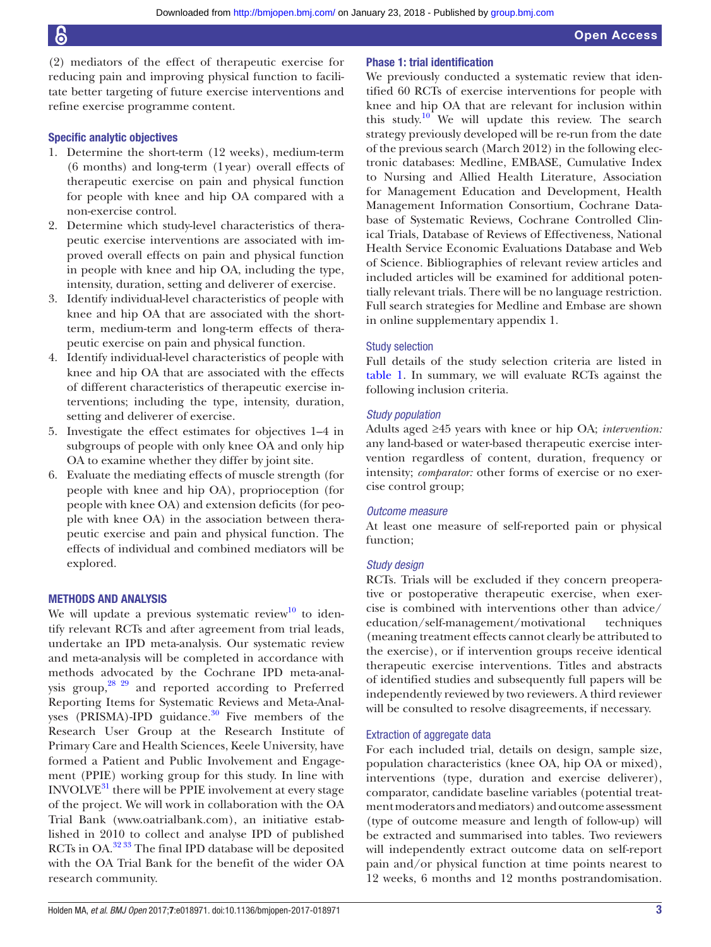(2) mediators of the effect of therapeutic exercise for reducing pain and improving physical function to facilitate better targeting of future exercise interventions and refine exercise programme content.

#### Specific analytic objectives

- 1. Determine the short-term (12 weeks), medium-term (6 months) and long-term (1year) overall effects of therapeutic exercise on pain and physical function for people with knee and hip OA compared with a non-exercise control.
- 2. Determine which study-level characteristics of therapeutic exercise interventions are associated with improved overall effects on pain and physical function in people with knee and hip OA, including the type, intensity, duration, setting and deliverer of exercise.
- 3. Identify individual-level characteristics of people with knee and hip OA that are associated with the shortterm, medium-term and long-term effects of therapeutic exercise on pain and physical function.
- 4. Identify individual-level characteristics of people with knee and hip OA that are associated with the effects of different characteristics of therapeutic exercise interventions; including the type, intensity, duration, setting and deliverer of exercise.
- 5. Investigate the effect estimates for objectives 1–4 in subgroups of people with only knee OA and only hip OA to examine whether they differ by joint site.
- 6. Evaluate the mediating effects of muscle strength (for people with knee and hip OA), proprioception (for people with knee OA) and extension deficits (for people with knee OA) in the association between therapeutic exercise and pain and physical function. The effects of individual and combined mediators will be explored.

#### Methods and analysis

We will update a previous systematic review<sup>[10](#page-7-10)</sup> to identify relevant RCTs and after agreement from trial leads, undertake an IPD meta-analysis. Our systematic review and meta-analysis will be completed in accordance with methods advocated by the Cochrane IPD meta-analysis group,<sup>28</sup> <sup>29</sup> and reported according to Preferred Reporting Items for Systematic Reviews and Meta-Analyses (PRISMA)-IPD guidance. $30$  Five members of the Research User Group at the Research Institute of Primary Care and Health Sciences, Keele University, have formed a Patient and Public Involvement and Engagement (PPIE) working group for this study. In line with  $INVOLVE<sup>31</sup>$  there will be PPIE involvement at every stage of the project. We will work in collaboration with the OA Trial Bank [\(www.oatrialbank.com\)](www.oatrialbank.com), an initiative established in 2010 to collect and analyse IPD of published RCTs in OA.[32 33](#page-8-12) The final IPD database will be deposited with the OA Trial Bank for the benefit of the wider OA research community.

#### Phase 1: trial identification

We previously conducted a systematic review that identified 60 RCTs of exercise interventions for people with knee and hip OA that are relevant for inclusion within this study.<sup>10</sup> We will update this review. The search strategy previously developed will be re-run from the date of the previous search (March 2012) in the following electronic databases: Medline, EMBASE, Cumulative Index to Nursing and Allied Health Literature, Association for Management Education and Development, Health Management Information Consortium, Cochrane Database of Systematic Reviews, Cochrane Controlled Clinical Trials, Database of Reviews of Effectiveness, National Health Service Economic Evaluations Database and Web of Science. Bibliographies of relevant review articles and included articles will be examined for additional potentially relevant trials. There will be no language restriction. Full search strategies for Medline and Embase are shown in online [supplementary appendix 1](https://dx.doi.org/10.1136/bmjopen-2017-018971).

#### Study selection

Full details of the study selection criteria are listed in [table](#page-3-0) 1. In summary, we will evaluate RCTs against the following inclusion criteria.

#### *Study population*

Adults aged ≥45 years with knee or hip OA; *intervention:* any land-based or water-based therapeutic exercise intervention regardless of content, duration, frequency or intensity; *comparator*: other forms of exercise or no exercise control group;

#### *Outcome measure*

At least one measure of self-reported pain or physical function;

#### *Study design*

RCTs. Trials will be excluded if they concern preoperative or postoperative therapeutic exercise, when exercise is combined with interventions other than advice/ education/self-management/motivational techniques (meaning treatment effects cannot clearly be attributed to the exercise), or if intervention groups receive identical therapeutic exercise interventions. Titles and abstracts of identified studies and subsequently full papers will be independently reviewed by two reviewers. A third reviewer will be consulted to resolve disagreements, if necessary.

#### Extraction of aggregate data

For each included trial, details on design, sample size, population characteristics (knee OA, hip OA or mixed), interventions (type, duration and exercise deliverer), comparator, candidate baseline variables (potential treatment moderators and mediators) and outcome assessment (type of outcome measure and length of follow-up) will be extracted and summarised into tables. Two reviewers will independently extract outcome data on self-report pain and/or physical function at time points nearest to 12 weeks, 6 months and 12 months postrandomisation.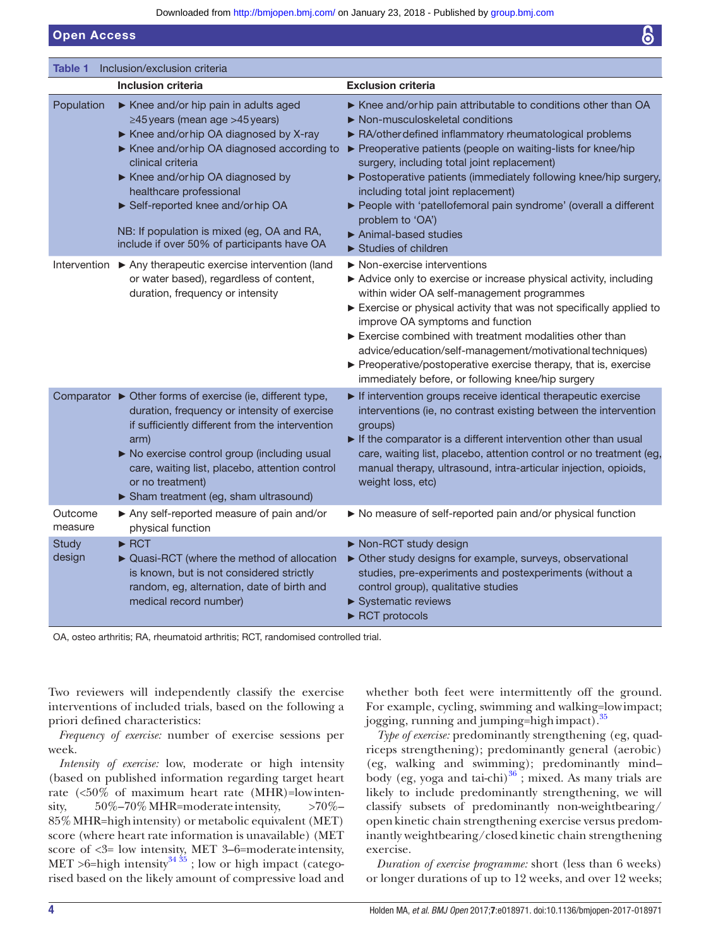Open Access

<span id="page-3-0"></span>

| Inclusion/exclusion criteria<br>Table 1 |                                                                                                                                                                                                                                                                                                                                                                                                |                                                                                                                                                                                                                                                                                                                                                                                                                                                                                                                                             |  |  |
|-----------------------------------------|------------------------------------------------------------------------------------------------------------------------------------------------------------------------------------------------------------------------------------------------------------------------------------------------------------------------------------------------------------------------------------------------|---------------------------------------------------------------------------------------------------------------------------------------------------------------------------------------------------------------------------------------------------------------------------------------------------------------------------------------------------------------------------------------------------------------------------------------------------------------------------------------------------------------------------------------------|--|--|
|                                         | <b>Inclusion criteria</b>                                                                                                                                                                                                                                                                                                                                                                      | <b>Exclusion criteria</b>                                                                                                                                                                                                                                                                                                                                                                                                                                                                                                                   |  |  |
| Population                              | Knee and/or hip pain in adults aged<br>$\geq$ 45 years (mean age $>$ 45 years)<br>▶ Knee and/or hip OA diagnosed by X-ray<br>▶ Knee and/or hip OA diagnosed according to<br>clinical criteria<br>▶ Knee and/or hip OA diagnosed by<br>healthcare professional<br>Self-reported knee and/or hip OA<br>NB: If population is mixed (eg, OA and RA,<br>include if over 50% of participants have OA | ▶ Knee and/or hip pain attributable to conditions other than OA<br>Non-musculoskeletal conditions<br>RA/other defined inflammatory rheumatological problems<br>Preoperative patients (people on waiting-lists for knee/hip<br>surgery, including total joint replacement)<br>▶ Postoperative patients (immediately following knee/hip surgery,<br>including total joint replacement)<br>People with 'patellofemoral pain syndrome' (overall a different<br>problem to 'OA')<br>Animal-based studies<br>$\triangleright$ Studies of children |  |  |
| Intervention                            | Any therapeutic exercise intervention (land<br>or water based), regardless of content,<br>duration, frequency or intensity                                                                                                                                                                                                                                                                     | $\triangleright$ Non-exercise interventions<br>Advice only to exercise or increase physical activity, including<br>within wider OA self-management programmes<br>Exercise or physical activity that was not specifically applied to<br>improve OA symptoms and function<br>Exercise combined with treatment modalities other than<br>advice/education/self-management/motivational techniques)<br>▶ Preoperative/postoperative exercise therapy, that is, exercise<br>immediately before, or following knee/hip surgery                     |  |  |
|                                         | Comparator ▶ Other forms of exercise (ie, different type,<br>duration, frequency or intensity of exercise<br>if sufficiently different from the intervention<br>arm)<br>No exercise control group (including usual<br>care, waiting list, placebo, attention control<br>or no treatment)<br>Sham treatment (eg, sham ultrasound)                                                               | If intervention groups receive identical therapeutic exercise<br>interventions (ie, no contrast existing between the intervention<br>groups)<br>$\blacktriangleright$ If the comparator is a different intervention other than usual<br>care, waiting list, placebo, attention control or no treatment (eg,<br>manual therapy, ultrasound, intra-articular injection, opioids,<br>weight loss, etc)                                                                                                                                         |  |  |
| Outcome<br>measure                      | Any self-reported measure of pain and/or<br>physical function                                                                                                                                                                                                                                                                                                                                  | No measure of self-reported pain and/or physical function                                                                                                                                                                                                                                                                                                                                                                                                                                                                                   |  |  |
| <b>Study</b><br>design                  | $\blacktriangleright$ RCT<br>▶ Quasi-RCT (where the method of allocation<br>is known, but is not considered strictly<br>random, eg, alternation, date of birth and<br>medical record number)                                                                                                                                                                                                   | Non-RCT study design<br>• Other study designs for example, surveys, observational<br>studies, pre-experiments and postexperiments (without a<br>control group), qualitative studies<br>$\triangleright$ Systematic reviews<br>$\triangleright$ RCT protocols                                                                                                                                                                                                                                                                                |  |  |

OA, osteo arthritis; RA, rheumatoid arthritis; RCT, randomised controlled trial.

Two reviewers will independently classify the exercise interventions of included trials, based on the following a priori defined characteristics:

*Frequency of exercise:* number of exercise sessions per week.

*Intensity of exercise:* low, moderate or high intensity (based on published information regarding target heart rate (<50% of maximum heart rate (MHR)=lowintensity, 50%–70%MHR=moderate intensity, >70%– 85%MHR=highintensity) or metabolic equivalent (MET) score (where heart rate information is unavailable) (MET score of <3= low intensity, MET 3–6=moderate intensity, MET >6=high intensity<sup>34 35</sup>; low or high impact (categorised based on the likely amount of compressive load and

whether both feet were intermittently off the ground. For example, cycling, swimming and walking=lowimpact; jogging, running and jumping=high impact).<sup>35</sup>

*Type of exercise:* predominantly strengthening (eg, quadriceps strengthening); predominantly general (aerobic) (eg, walking and swimming); predominantly mind– body (eg, yoga and tai-chi) $36$ ; mixed. As many trials are likely to include predominantly strengthening, we will classify subsets of predominantly non-weightbearing/ openkinetic chain strengthening exercise versus predominantly weightbearing/closedkinetic chain strengthening exercise.

*Duration of exercise programme:* short (less than 6 weeks) or longer durations of up to 12 weeks, and over 12 weeks;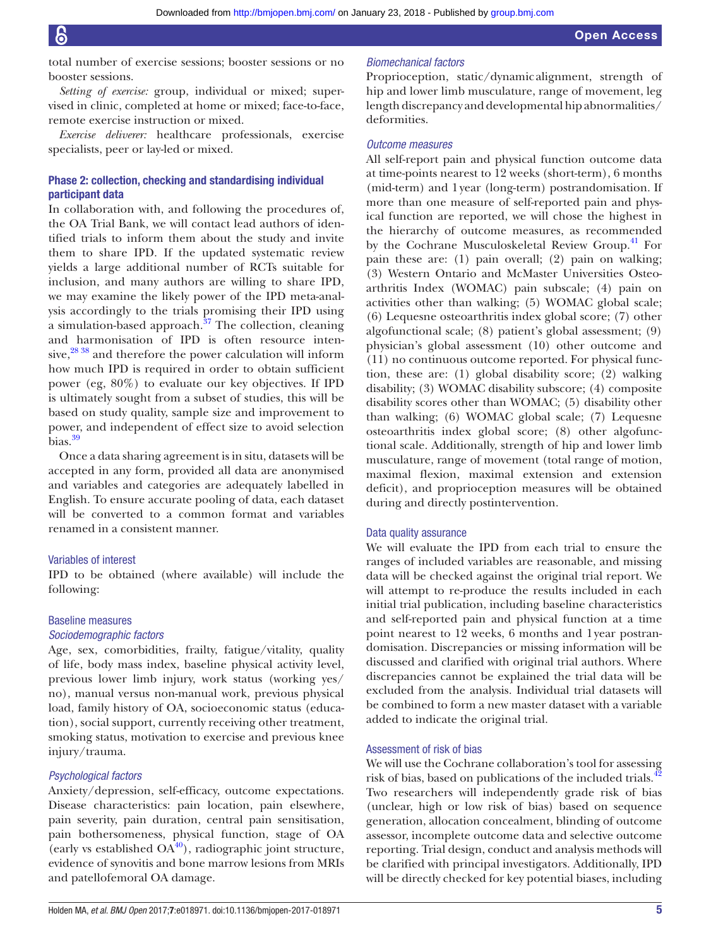total number of exercise sessions; booster sessions or no booster sessions.

*Setting of exercise:* group, individual or mixed; supervised in clinic, completed at home or mixed; face-to-face, remote exercise instruction or mixed.

*Exercise deliverer:* healthcare professionals, exercise specialists, peer or lay-led or mixed.

#### Phase 2: collection, checking and standardising individual participant data

In collaboration with, and following the procedures of, the OA Trial Bank, we will contact lead authors of identified trials to inform them about the study and invite them to share IPD. If the updated systematic review yields a large additional number of RCTs suitable for inclusion, and many authors are willing to share IPD, we may examine the likely power of the IPD meta-analysis accordingly to the trials promising their IPD using a simulation-based approach. $37$  The collection, cleaning and harmonisation of IPD is often resource intensive, $2838$  and therefore the power calculation will inform how much IPD is required in order to obtain sufficient power (eg, 80%) to evaluate our key objectives. If IPD is ultimately sought from a subset of studies, this will be based on study quality, sample size and improvement to power, and independent of effect size to avoid selection bias.[39](#page-8-17)

Once a data sharing agreement is in situ, datasets will be accepted in any form, provided all data are anonymised and variables and categories are adequately labelled in English. To ensure accurate pooling of data, each dataset will be converted to a common format and variables renamed in a consistent manner.

#### Variables of interest

IPD to be obtained (where available) will include the following:

#### Baseline measures

#### *Sociodemographic factors*

Age, sex, comorbidities, frailty, fatigue/vitality, quality of life, body mass index, baseline physical activity level, previous lower limb injury, work status (working yes/ no), manual versus non-manual work, previous physical load, family history of OA, socioeconomic status (education), social support, currently receiving other treatment, smoking status, motivation to exercise and previous knee injury/trauma.

#### *Psychological factors*

Anxiety/depression, self-efficacy, outcome expectations. Disease characteristics: pain location, pain elsewhere, pain severity, pain duration, central pain sensitisation, pain bothersomeness, physical function, stage of OA (early vs established  $OA<sup>40</sup>$ ), radiographic joint structure, evidence of synovitis and bone marrow lesions from MRIs and patellofemoral OA damage.

#### *Biomechanical factors*

Proprioception, static/dynamic alignment, strength of hip and lower limb musculature, range of movement, leg length discrepancy and developmental hip abnormalities/ deformities.

#### *Outcome measures*

All self-report pain and physical function outcome data at time-points nearest to 12 weeks (short-term), 6 months (mid-term) and 1year (long-term) postrandomisation. If more than one measure of self-reported pain and physical function are reported, we will chose the highest in the hierarchy of outcome measures, as recommended by the Cochrane Musculoskeletal Review Group.<sup>41</sup> For pain these are: (1) pain overall; (2) pain on walking; (3) Western Ontario and McMaster Universities Osteoarthritis Index (WOMAC) pain subscale; (4) pain on activities other than walking; (5) WOMAC global scale; (6) Lequesne osteoarthritis index global score; (7) other algofunctional scale; (8) patient's global assessment; (9) physician's global assessment (10) other outcome and (11) no continuous outcome reported. For physical function, these are: (1) global disability score; (2) walking disability; (3) WOMAC disability subscore; (4) composite disability scores other than WOMAC; (5) disability other than walking; (6) WOMAC global scale; (7) Lequesne osteoarthritis index global score; (8) other algofunctional scale. Additionally, strength of hip and lower limb musculature, range of movement (total range of motion, maximal flexion, maximal extension and extension deficit), and proprioception measures will be obtained during and directly postintervention.

#### Data quality assurance

We will evaluate the IPD from each trial to ensure the ranges of included variables are reasonable, and missing data will be checked against the original trial report. We will attempt to re-produce the results included in each initial trial publication, including baseline characteristics and self-reported pain and physical function at a time point nearest to 12 weeks, 6 months and 1year postrandomisation. Discrepancies or missing information will be discussed and clarified with original trial authors. Where discrepancies cannot be explained the trial data will be excluded from the analysis. Individual trial datasets will be combined to form a new master dataset with a variable added to indicate the original trial.

#### Assessment of risk of bias

We will use the Cochrane collaboration's tool for assessing risk of bias, based on publications of the included trials.<sup>[42](#page-8-20)</sup> Two researchers will independently grade risk of bias (unclear, high or low risk of bias) based on sequence generation, allocation concealment, blinding of outcome assessor, incomplete outcome data and selective outcome reporting. Trial design, conduct and analysis methods will be clarified with principal investigators. Additionally, IPD will be directly checked for key potential biases, including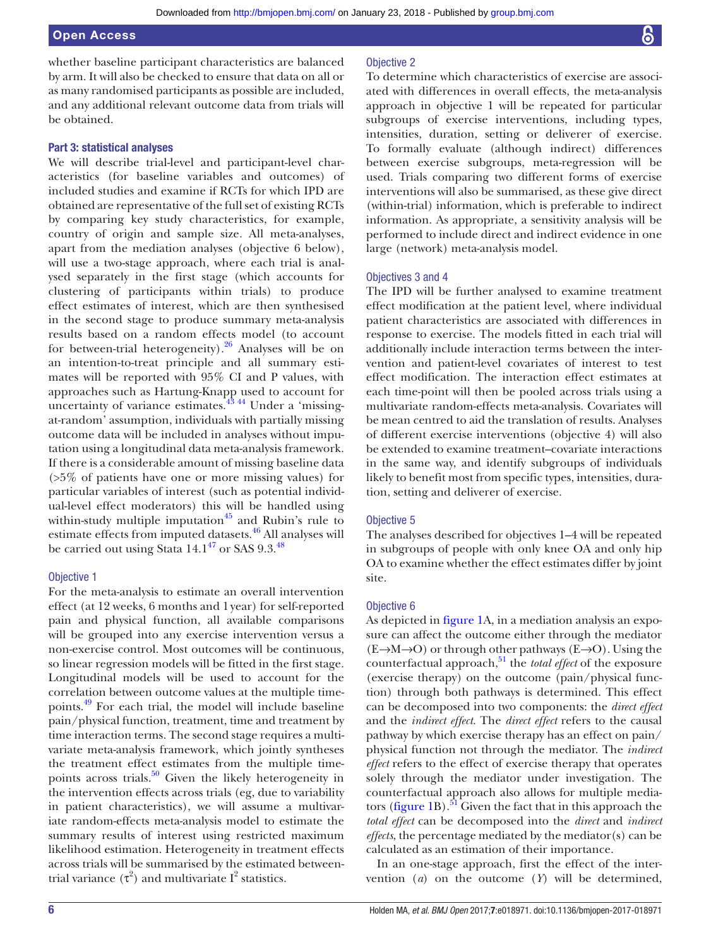#### Open Access

whether baseline participant characteristics are balanced by arm. It will also be checked to ensure that data on all or as many randomised participants as possible are included, and any additional relevant outcome data from trials will be obtained.

#### Part 3: statistical analyses

We will describe trial-level and participant-level characteristics (for baseline variables and outcomes) of included studies and examine if RCTs for which IPD are obtained are representative of the full set of existing RCTs by comparing key study characteristics, for example, country of origin and sample size. All meta-analyses, apart from the mediation analyses (objective 6 below), will use a two-stage approach, where each trial is analysed separately in the first stage (which accounts for clustering of participants within trials) to produce effect estimates of interest, which are then synthesised in the second stage to produce summary meta-analysis results based on a random effects model (to account for between-trial heterogeneity). $26$  Analyses will be on an intention-to-treat principle and all summary estimates will be reported with 95% CI and P values, with approaches such as Hartung-Knapp used to account for uncertainty of variance estimates. $43/44$  Under a 'missingat-random' assumption, individuals with partially missing outcome data will be included in analyses without imputation using a longitudinal data meta-analysis framework. If there is a considerable amount of missing baseline data (>5% of patients have one or more missing values) for particular variables of interest (such as potential individual-level effect moderators) this will be handled using within-study multiple imputation<sup>45</sup> and Rubin's rule to estimate effects from imputed datasets.<sup>[46](#page-8-23)</sup> All analyses will be carried out using Stata  $14.1^{47}$  $14.1^{47}$  $14.1^{47}$  or SAS 9.3.<sup>[48](#page-8-25)</sup>

#### Objective 1

For the meta-analysis to estimate an overall intervention effect (at 12 weeks, 6 months and 1year) for self-reported pain and physical function, all available comparisons will be grouped into any exercise intervention versus a non-exercise control. Most outcomes will be continuous, so linear regression models will be fitted in the first stage. Longitudinal models will be used to account for the correlation between outcome values at the multiple timepoints[.49](#page-8-26) For each trial, the model will include baseline pain/physical function, treatment, time and treatment by time interaction terms. The second stage requires a multivariate meta-analysis framework, which jointly syntheses the treatment effect estimates from the multiple timepoints across trials.<sup>50</sup> Given the likely heterogeneity in the intervention effects across trials (eg, due to variability in patient characteristics), we will assume a multivariate random-effects meta-analysis model to estimate the summary results of interest using restricted maximum likelihood estimation. Heterogeneity in treatment effects across trials will be summarised by the estimated betweentrial variance  $(\tau^2)$  and multivariate I<sup>2</sup> statistics.

#### Objective 2

To determine which characteristics of exercise are associated with differences in overall effects, the meta-analysis approach in objective 1 will be repeated for particular subgroups of exercise interventions, including types, intensities, duration, setting or deliverer of exercise. To formally evaluate (although indirect) differences between exercise subgroups, meta-regression will be used. Trials comparing two different forms of exercise interventions will also be summarised, as these give direct (within-trial) information, which is preferable to indirect information. As appropriate, a sensitivity analysis will be performed to include direct and indirect evidence in one large (network) meta-analysis model.

#### Objectives 3 and 4

The IPD will be further analysed to examine treatment effect modification at the patient level, where individual patient characteristics are associated with differences in response to exercise. The models fitted in each trial will additionally include interaction terms between the intervention and patient-level covariates of interest to test effect modification. The interaction effect estimates at each time-point will then be pooled across trials using a multivariate random-effects meta-analysis. Covariates will be mean centred to aid the translation of results. Analyses of different exercise interventions (objective 4) will also be extended to examine treatment–covariate interactions in the same way, and identify subgroups of individuals likely to benefit most from specific types, intensities, duration, setting and deliverer of exercise.

#### Objective 5

The analyses described for objectives 1–4 will be repeated in subgroups of people with only knee OA and only hip OA to examine whether the effect estimates differ by joint site.

#### Objective 6

As depicted in [figure](#page-6-0) 1A, in a mediation analysis an exposure can affect the outcome either through the mediator  $(E\rightarrow M\rightarrow O)$  or through other pathways  $(E\rightarrow O)$ . Using the counterfactual approach,<sup>51</sup> the *total effect* of the exposure (exercise therapy) on the outcome (pain/physical function) through both pathways is determined. This effect can be decomposed into two components: the *direct effect* and the *indirect effect*. The *direct effect* refers to the causal pathway by which exercise therapy has an effect on pain/ physical function not through the mediator. The *indirect effect* refers to the effect of exercise therapy that operates solely through the mediator under investigation. The counterfactual approach also allows for multiple mediators ([figure](#page-6-0) 1B).<sup>51</sup> Given the fact that in this approach the *total effect* can be decomposed into the *direct* and *indirect effects*, the percentage mediated by the mediator(s) can be calculated as an estimation of their importance.

In an one-stage approach, first the effect of the intervention (*a*) on the outcome (*Y*) will be determined,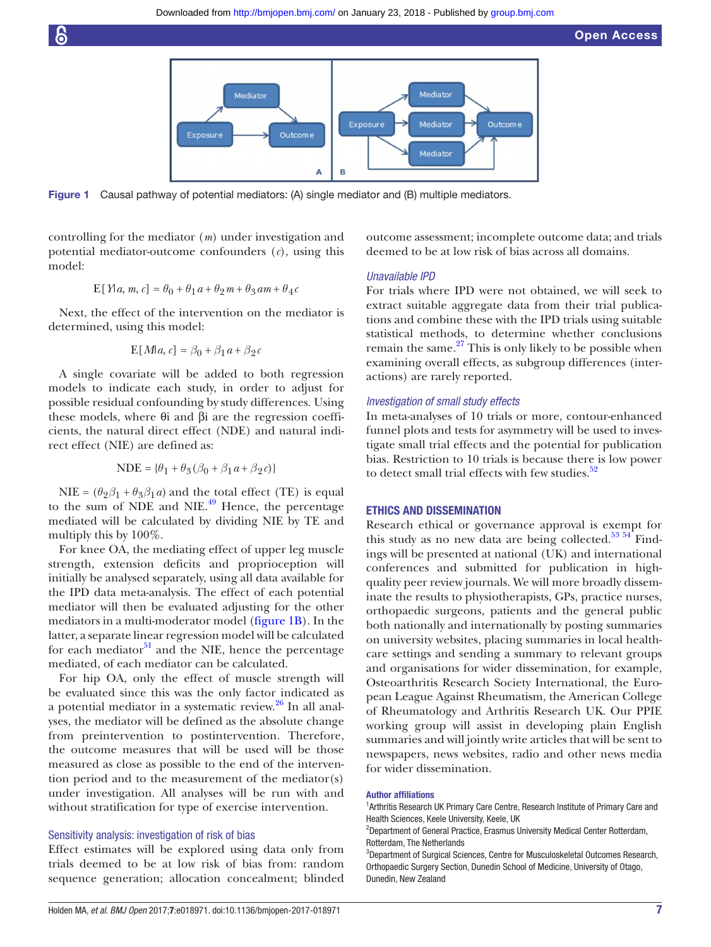

Figure 1 Causal pathway of potential mediators: (A) single mediator and (B) multiple mediators.

controlling for the mediator (*m*) under investigation and potential mediator-outcome confounders (*c*), using this model:

$$
E[Na, m, c] = \theta_0 + \theta_1 a + \theta_2 m + \theta_3 a m + \theta_4 c
$$

Next, the effect of the intervention on the mediator is determined, using this model:

$$
\mathbb{E}[M|a, c] = \beta_0 + \beta_1 a + \beta_2 c
$$

A single covariate will be added to both regression models to indicate each study, in order to adjust for possible residual confounding by study differences. Using these models, where θi and βi are the regression coefficients, the natural direct effect (NDE) and natural indirect effect (NIE) are defined as:

$$
NDE = \{\theta_1 + \theta_3(\beta_0 + \beta_1 a + \beta_2 c)\}\
$$

NIE =  $(\theta_2 \beta_1 + \theta_3 \beta_1 a)$  and the total effect (TE) is equal to the sum of NDE and NIE. $49$  Hence, the percentage mediated will be calculated by dividing NIE by TE and multiply this by 100%.

For knee OA, the mediating effect of upper leg muscle strength, extension deficits and proprioception will initially be analysed separately, using all data available for the IPD data meta-analysis. The effect of each potential mediator will then be evaluated adjusting for the other mediators in a multi-moderator model [\(figure](#page-6-0) 1B). In the latter, a separate linear regression model will be calculated for each mediator $51$  and the NIE, hence the percentage mediated, of each mediator can be calculated.

For hip OA, only the effect of muscle strength will be evaluated since this was the only factor indicated as a potential mediator in a systematic review. $26$  In all analyses, the mediator will be defined as the absolute change from preintervention to postintervention. Therefore, the outcome measures that will be used will be those measured as close as possible to the end of the intervention period and to the measurement of the mediator(s) under investigation. All analyses will be run with and without stratification for type of exercise intervention.

#### Sensitivity analysis: investigation of risk of bias

Effect estimates will be explored using data only from trials deemed to be at low risk of bias from: random sequence generation; allocation concealment; blinded <span id="page-6-0"></span>outcome assessment; incomplete outcome data; and trials deemed to be at low risk of bias across all domains.

Open Access

#### *Unavailable IPD*

For trials where IPD were not obtained, we will seek to extract suitable aggregate data from their trial publications and combine these with the IPD trials using suitable statistical methods, to determine whether conclusions remain the same.<sup>27</sup> This is only likely to be possible when examining overall effects, as subgroup differences (interactions) are rarely reported.

#### *Investigation of small study effects*

In meta-analyses of 10 trials or more, contour-enhanced funnel plots and tests for asymmetry will be used to investigate small trial effects and the potential for publication bias. Restriction to 10 trials is because there is low power to detect small trial effects with few studies.<sup>52</sup>

#### Ethics and dissemination

Research ethical or governance approval is exempt for this study as no new data are being collected.<sup>53 54</sup> Findings will be presented at national (UK) and international conferences and submitted for publication in highquality peer review journals. We will more broadly disseminate the results to physiotherapists, GPs, practice nurses, orthopaedic surgeons, patients and the general public both nationally and internationally by posting summaries on university websites, placing summaries in local healthcare settings and sending a summary to relevant groups and organisations for wider dissemination, for example, Osteoarthritis Research Society International, the European League Against Rheumatism, the American College of Rheumatology and Arthritis Research UK. Our PPIE working group will assist in developing plain English summaries and will jointly write articles that will be sent to newspapers, news websites, radio and other news media for wider dissemination.

#### Author affiliations

<sup>1</sup> Arthritis Research UK Primary Care Centre, Research Institute of Primary Care and Health Sciences, Keele University, Keele, UK

<sup>2</sup>Department of General Practice, Erasmus University Medical Center Rotterdam, Rotterdam, The Netherlands

<sup>3</sup>Department of Surgical Sciences, Centre for Musculoskeletal Outcomes Research, Orthopaedic Surgery Section, Dunedin School of Medicine, University of Otago, Dunedin, New Zealand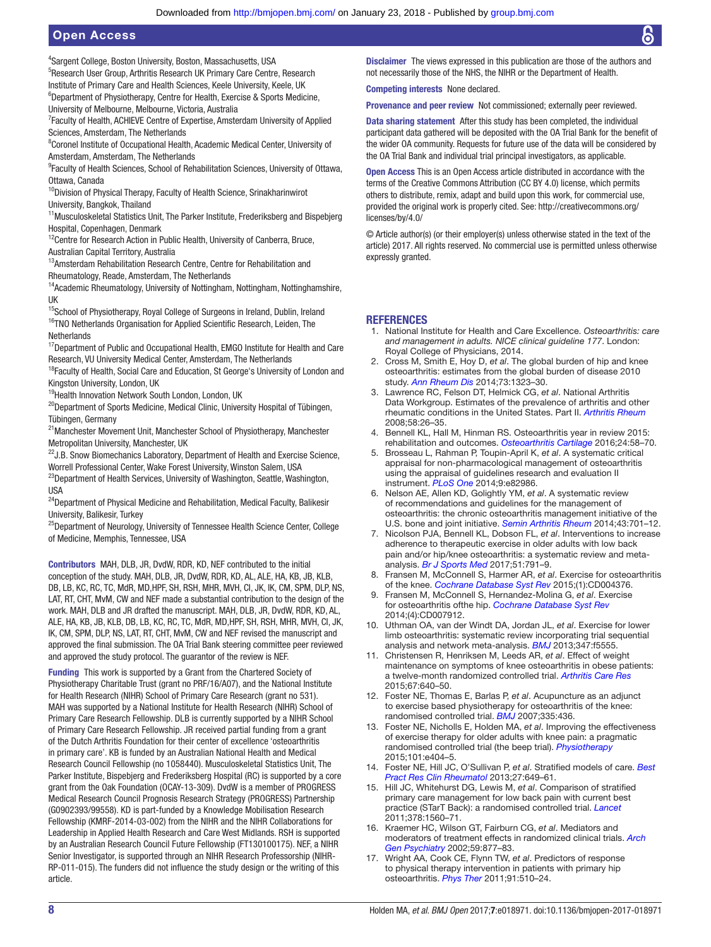4 Sargent College, Boston University, Boston, Massachusetts, USA

5 Research User Group, Arthritis Research UK Primary Care Centre, Research Institute of Primary Care and Health Sciences, Keele University, Keele, UK <sup>6</sup>Department of Physiotherapy, Centre for Health, Exercise & Sports Medicine, University of Melbourne, Melbourne, Victoria, Australia

<sup>7</sup> Faculty of Health, ACHIEVE Centre of Expertise, Amsterdam University of Applied Sciences, Amsterdam, The Netherlands

<sup>8</sup> Coronel Institute of Occupational Health, Academic Medical Center, University of Amsterdam, Amsterdam, The Netherlands

<sup>9</sup> Faculty of Health Sciences, School of Rehabilitation Sciences, University of Ottawa, Ottawa, Canada

<sup>10</sup>Division of Physical Therapy, Faculty of Health Science, Srinakharinwirot University, Bangkok, Thailand

<sup>11</sup> Musculoskeletal Statistics Unit, The Parker Institute, Frederiksberg and Bispebjerg Hospital, Copenhagen, Denmark

<sup>12</sup>Centre for Research Action in Public Health, University of Canberra, Bruce, Australian Capital Territory, Australia

<sup>13</sup>Amsterdam Rehabilitation Research Centre, Centre for Rehabilitation and Rheumatology, Reade, Amsterdam, The Netherlands

<sup>14</sup>Academic Rheumatology, University of Nottingham, Nottingham, Nottinghamshire, UK

<sup>15</sup>School of Physiotherapy, Royal College of Surgeons in Ireland, Dublin, Ireland  $16$  TNO Netherlands Organisation for Applied Scientific Research, Leiden, The **Netherlands** 

<sup>17</sup>Department of Public and Occupational Health, EMGO Institute for Health and Care Research, VU University Medical Center, Amsterdam, The Netherlands

<sup>18</sup>Faculty of Health, Social Care and Education, St George's University of London and Kingston University, London, UK

19Health Innovation Network South London, London, UK

<sup>20</sup>Department of Sports Medicine, Medical Clinic, University Hospital of Tübingen, Tübingen, Germany

21Manchester Movement Unit, Manchester School of Physiotherapy, Manchester Metropolitan University, Manchester, UK

 $22$  J.B. Snow Biomechanics Laboratory, Department of Health and Exercise Science, Worrell Professional Center, Wake Forest University, Winston Salem, USA

<sup>23</sup>Department of Health Services, University of Washington, Seattle, Washington, USA

<sup>24</sup>Department of Physical Medicine and Rehabilitation, Medical Faculty, Balikesir University, Balikesir, Turkey

<sup>25</sup>Department of Neurology, University of Tennessee Health Science Center, College of Medicine, Memphis, Tennessee, USA

Contributors MAH, DLB, JR, DvdW, RDR, KD, NEF contributed to the initial conception of the study. MAH, DLB, JR, DvdW, RDR, KD, AL, ALE, HA, KB, JB, KLB, DB, LB, KC, RC, TC, MdR, MD,HPF, SH, RSH, MHR, MVH, CI, JK, IK, CM, SPM, DLP, NS, LAT, RT, CHT, MvM, CW and NEF made a substantial contribution to the design of the work. MAH, DLB and JR drafted the manuscript. MAH, DLB, JR, DvdW, RDR, KD, AL, ALE, HA, KB, JB, KLB, DB, LB, KC, RC, TC, MdR, MD,HPF, SH, RSH, MHR, MVH, CI, JK, IK, CM, SPM, DLP, NS, LAT, RT, CHT, MvM, CW and NEF revised the manuscript and approved the final submission. The OA Trial Bank steering committee peer reviewed and approved the study protocol. The guarantor of the review is NEF.

Funding This work is supported by a Grant from the Chartered Society of Physiotherapy Charitable Trust (grant no PRF/16/A07), and the National Institute for Health Research (NIHR) School of Primary Care Research (grant no 531). MAH was supported by a National Institute for Health Research (NIHR) School of Primary Care Research Fellowship. DLB is currently supported by a NIHR School of Primary Care Research Fellowship. JR received partial funding from a grant of the Dutch Arthritis Foundation for their center of excellence 'osteoarthritis in primary care'. KB is funded by an Australian National Health and Medical Research Council Fellowship (no 1058440). Musculoskeletal Statistics Unit, The Parker Institute, Bispebjerg and Frederiksberg Hospital (RC) is supported by a core grant from the Oak Foundation (OCAY-13-309). DvdW is a member of PROGRESS Medical Research Council Prognosis Research Strategy (PROGRESS) Partnership (G0902393/99558). KD is part-funded by a Knowledge Mobilisation Research Fellowship (KMRF-2014-03-002) from the NIHR and the NIHR Collaborations for Leadership in Applied Health Research and Care West Midlands. RSH is supported by an Australian Research Council Future Fellowship (FT130100175). NEF, a NIHR Senior Investigator, is supported through an NIHR Research Professorship (NIHR-RP-011-015). The funders did not influence the study design or the writing of this article.

Disclaimer The views expressed in this publication are those of the authors and not necessarily those of the NHS, the NIHR or the Department of Health.

Competing interests None declared.

Provenance and peer review Not commissioned; externally peer reviewed.

Data sharing statement After this study has been completed, the individual participant data gathered will be deposited with the OA Trial Bank for the benefit of the wider OA community. Requests for future use of the data will be considered by the OA Trial Bank and individual trial principal investigators, as applicable.

Open Access This is an Open Access article distributed in accordance with the terms of the Creative Commons Attribution (CC BY 4.0) license, which permits others to distribute, remix, adapt and build upon this work, for commercial use, provided the original work is properly cited. See: [http://creativecommons.org/](http://creativecommons.org/licenses/by/4.0/) [licenses/by/4.0/](http://creativecommons.org/licenses/by/4.0/)

© Article author(s) (or their employer(s) unless otherwise stated in the text of the article) 2017. All rights reserved. No commercial use is permitted unless otherwise expressly granted.

#### **REFERENCES**

- <span id="page-7-0"></span>1. National Institute for Health and Care Excellence. *Osteoarthritis: care and management in adults. NICE clinical guideline 177*. London: Royal College of Physicians, 2014.
- <span id="page-7-1"></span>2. Cross M, Smith E, Hoy D, *et al*. The global burden of hip and knee osteoarthritis: estimates from the global burden of disease 2010 study. *[Ann Rheum Dis](http://dx.doi.org/10.1136/annrheumdis-2013-204763)* 2014;73:1323–30.
- 3. Lawrence RC, Felson DT, Helmick CG, *et al*. National Arthritis Data Workgroup. Estimates of the prevalence of arthritis and other rheumatic conditions in the United States. Part II. *[Arthritis Rheum](http://dx.doi.org/10.1002/art.23176)* 2008;58:26–35.
- <span id="page-7-2"></span>4. Bennell KL, Hall M, Hinman RS. Osteoarthritis year in review 2015: rehabilitation and outcomes. *[Osteoarthritis Cartilage](http://dx.doi.org/10.1016/j.joca.2015.07.028)* 2016;24:58–70.
- <span id="page-7-3"></span>5. Brosseau L, Rahman P, Toupin-April K, *et al*. A systematic critical appraisal for non-pharmacological management of osteoarthritis using the appraisal of guidelines research and evaluation II instrument. *[PLoS One](http://dx.doi.org/10.1371/journal.pone.0082986)* 2014;9:e82986.
- 6. Nelson AE, Allen KD, Golightly YM, *et al*. A systematic review of recommendations and guidelines for the management of osteoarthritis: the chronic osteoarthritis management initiative of the U.S. bone and joint initiative. *[Semin Arthritis Rheum](http://dx.doi.org/10.1016/j.semarthrit.2013.11.012)* 2014;43:701–12.
- <span id="page-7-4"></span>7. Nicolson PJA, Bennell KL, Dobson FL, *et al*. Interventions to increase adherence to therapeutic exercise in older adults with low back pain and/or hip/knee osteoarthritis: a systematic review and metaanalysis. *[Br J Sports Med](http://dx.doi.org/10.1136/bjsports-2016-096458)* 2017;51:791–9.
- <span id="page-7-5"></span>8. Fransen M, McConnell S, Harmer AR, *et al*. Exercise for osteoarthritis of the knee. *[Cochrane Database Syst Rev](http://dx.doi.org/10.1002/14651858.CD004376.pub3)* 2015;(1):CD004376.
- 9. Fransen M, McConnell S, Hernandez-Molina G, *et al*. Exercise for osteoarthritis ofthe hip. *Cochrane Database Syst Rev* 2014;(4):CD007912.
- <span id="page-7-10"></span>10. Uthman OA, van der Windt DA, Jordan JL, *et al*. Exercise for lower limb osteoarthritis: systematic review incorporating trial sequential analysis and network meta-analysis. *[BMJ](http://dx.doi.org/10.1136/bmj.f5555)* 2013;347:f5555.
- <span id="page-7-6"></span>11. Christensen R, Henriksen M, Leeds AR, *et al*. Effect of weight maintenance on symptoms of knee osteoarthritis in obese patients: a twelve-month randomized controlled trial. *[Arthritis Care Res](http://dx.doi.org/10.1002/acr.22504)* 2015;67:640–50.
- 12. Foster NE, Thomas E, Barlas P, *et al*. Acupuncture as an adjunct to exercise based physiotherapy for osteoarthritis of the knee: randomised controlled trial. *[BMJ](http://dx.doi.org/10.1136/bmj.39280.509803.BE)* 2007;335:436.
- 13. Foster NE, Nicholls E, Holden MA, *et al*. Improving the effectiveness of exercise therapy for older adults with knee pain: a pragmatic randomised controlled trial (the beep trial). *[Physiotherapy](http://dx.doi.org/10.1016/j.physio.2015.03.633)* 2015;101:e404–5.
- <span id="page-7-7"></span>14. Foster NE, Hill JC, O'Sullivan P, *et al*. Stratified models of care. *[Best](http://dx.doi.org/10.1016/j.berh.2013.10.005)  [Pract Res Clin Rheumatol](http://dx.doi.org/10.1016/j.berh.2013.10.005)* 2013;27:649–61.
- 15. Hill JC, Whitehurst DG, Lewis M, *et al*. Comparison of stratified primary care management for low back pain with current best practice (STarT Back): a randomised controlled trial. *[Lancet](http://dx.doi.org/10.1016/S0140-6736(11)60937-9)* 2011;378:1560–71.
- <span id="page-7-8"></span>16. Kraemer HC, Wilson GT, Fairburn CG, *et al*. Mediators and moderators of treatment effects in randomized clinical trials. *[Arch](http://dx.doi.org/10.1001/archpsyc.59.10.877)  [Gen Psychiatry](http://dx.doi.org/10.1001/archpsyc.59.10.877)* 2002;59:877–83.
- <span id="page-7-9"></span>17. Wright AA, Cook CE, Flynn TW, *et al*. Predictors of response to physical therapy intervention in patients with primary hip osteoarthritis. *[Phys Ther](http://dx.doi.org/10.2522/ptj.20100171)* 2011;91:510–24.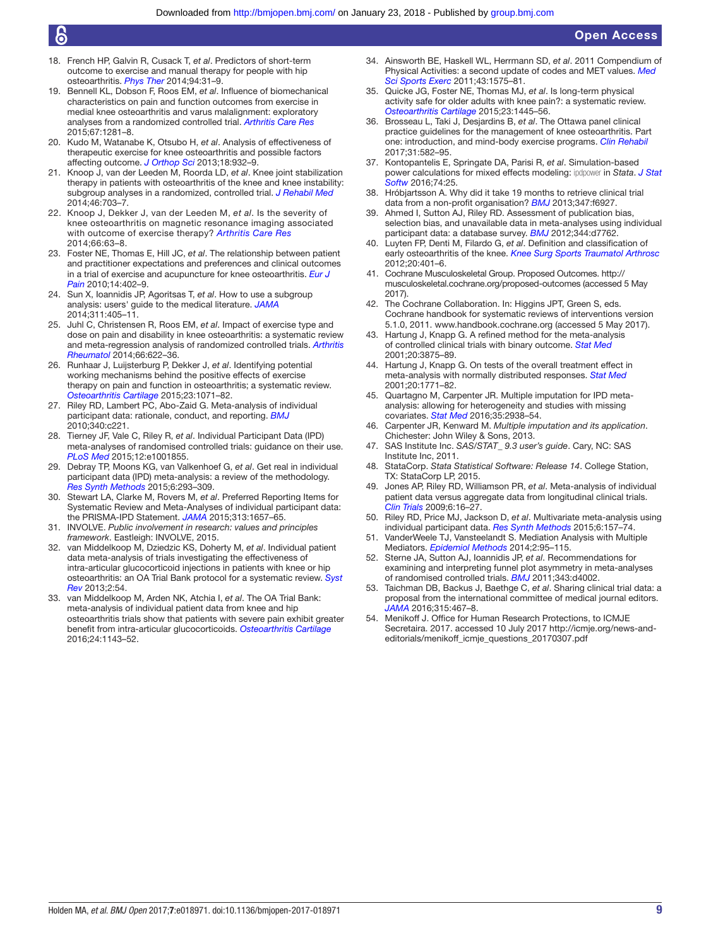- <span id="page-8-0"></span>18. French HP, Galvin R, Cusack T, *et al*. Predictors of short-term outcome to exercise and manual therapy for people with hip osteoarthritis. *[Phys Ther](http://dx.doi.org/10.2522/ptj.20130173)* 2014;94:31–9.
- <span id="page-8-1"></span>19. Bennell KL, Dobson F, Roos EM, *et al*. Influence of biomechanical characteristics on pain and function outcomes from exercise in medial knee osteoarthritis and varus malalignment: exploratory analyses from a randomized controlled trial. *[Arthritis Care Res](http://dx.doi.org/10.1002/acr.22558)* 2015;67:1281–8.
- <span id="page-8-2"></span>20. Kudo M, Watanabe K, Otsubo H, *et al*. Analysis of effectiveness of therapeutic exercise for knee osteoarthritis and possible factors affecting outcome. *[J Orthop Sci](http://dx.doi.org/10.1007/s00776-013-0443-9)* 2013;18:932–9.
- 21. Knoop J, van der Leeden M, Roorda LD, *et al*. Knee joint stabilization therapy in patients with osteoarthritis of the knee and knee instability: subgroup analyses in a randomized, controlled trial. *[J Rehabil Med](http://dx.doi.org/10.2340/16501977-1809)* 2014;46:703–7.
- <span id="page-8-3"></span>22. Knoop J, Dekker J, van der Leeden M, *et al*. Is the severity of knee osteoarthritis on magnetic resonance imaging associated with outcome of exercise therapy? *[Arthritis Care Res](http://dx.doi.org/10.1002/acr.22128)* 2014;66:63–8.
- <span id="page-8-4"></span>23. Foster NE, Thomas E, Hill JC, *et al*. The relationship between patient and practitioner expectations and preferences and clinical outcomes in a trial of exercise and acupuncture for knee osteoarthritis. *[Eur J](http://dx.doi.org/10.1016/j.ejpain.2009.06.010)  [Pain](http://dx.doi.org/10.1016/j.ejpain.2009.06.010)* 2010;14:402–9.
- <span id="page-8-5"></span>24. Sun X, Ioannidis JP, Agoritsas T, *et al*. How to use a subgroup analysis: users' guide to the medical literature. *[JAMA](http://dx.doi.org/10.1001/jama.2013.285063)* 2014;311:405–11.
- <span id="page-8-7"></span>25. Juhl C, Christensen R, Roos EM, *et al*. Impact of exercise type and dose on pain and disability in knee osteoarthritis: a systematic review and meta-regression analysis of randomized controlled trials. *[Arthritis](http://dx.doi.org/10.1002/art.38290) [Rheumatol](http://dx.doi.org/10.1002/art.38290)* 2014;66:622–36.
- <span id="page-8-6"></span>26. Runhaar J, Luijsterburg P, Dekker J, *et al*. Identifying potential working mechanisms behind the positive effects of exercise therapy on pain and function in osteoarthritis; a systematic review. *[Osteoarthritis Cartilage](http://dx.doi.org/10.1016/j.joca.2014.12.027)* 2015;23:1071–82.
- <span id="page-8-8"></span>27. Riley RD, Lambert PC, Abo-Zaid G. Meta-analysis of individual participant data: rationale, conduct, and reporting. *[BMJ](http://dx.doi.org/10.1136/bmj.c221)* 2010;340:c221.
- <span id="page-8-9"></span>28. Tierney JF, Vale C, Riley R, *et al*. Individual Participant Data (IPD) meta-analyses of randomised controlled trials: guidance on their use. *[PLoS Med](http://dx.doi.org/10.1371/journal.pmed.1001855)* 2015;12:e1001855.
- 29. Debray TP, Moons KG, van Valkenhoef G, *et al*. Get real in individual participant data (IPD) meta-analysis: a review of the methodology. *[Res Synth Methods](http://dx.doi.org/10.1002/jrsm.1160)* 2015;6:293–309.
- <span id="page-8-10"></span>30. Stewart LA, Clarke M, Rovers M, *et al*. Preferred Reporting Items for Systematic Review and Meta-Analyses of individual participant data: the PRISMA-IPD Statement. *[JAMA](http://dx.doi.org/10.1001/jama.2015.3656)* 2015;313:1657–65.
- <span id="page-8-11"></span>31. INVOLVE. *Public involvement in research: values and principles framework*. Eastleigh: INVOLVE, 2015.
- <span id="page-8-12"></span>32. van Middelkoop M, Dziedzic KS, Doherty M, *et al*. Individual patient data meta-analysis of trials investigating the effectiveness of intra-articular glucocorticoid injections in patients with knee or hip osteoarthritis: an OA Trial Bank protocol for a systematic review. *[Syst](http://dx.doi.org/10.1186/2046-4053-2-54)  [Rev](http://dx.doi.org/10.1186/2046-4053-2-54)* 2013;2:54.
- 33. van Middelkoop M, Arden NK, Atchia I, *et al*. The OA Trial Bank: meta-analysis of individual patient data from knee and hip osteoarthritis trials show that patients with severe pain exhibit greater benefit from intra-articular glucocorticoids. *[Osteoarthritis Cartilage](http://dx.doi.org/10.1016/j.joca.2016.01.983)* 2016;24:1143–52.
- <span id="page-8-13"></span>34. Ainsworth BE, Haskell WL, Herrmann SD, *et al*. 2011 Compendium of Physical Activities: a second update of codes and MET values. *[Med](http://dx.doi.org/10.1249/MSS.0b013e31821ece12)  [Sci Sports Exerc](http://dx.doi.org/10.1249/MSS.0b013e31821ece12)* 2011;43:1575–81.
- <span id="page-8-14"></span>35. Quicke JG, Foster NE, Thomas MJ, *et al*. Is long-term physical activity safe for older adults with knee pain?: a systematic review. *[Osteoarthritis Cartilage](http://dx.doi.org/10.1016/j.joca.2015.05.002)* 2015;23:1445–56.
- <span id="page-8-15"></span>36. Brosseau L, Taki J, Desjardins B, *et al*. The Ottawa panel clinical practice guidelines for the management of knee osteoarthritis. Part one: introduction, and mind-body exercise programs. *[Clin Rehabil](http://dx.doi.org/10.1177/0269215517691083)* 2017;31:582–95.
- <span id="page-8-16"></span>37. Kontopantelis E, Springate DA, Parisi R, *et al*. Simulation-based power calculations for mixed effects modeling: ipdpower in *Stata*. *[J Stat](http://dx.doi.org/10.18637/jss.v074.i12)  [Softw](http://dx.doi.org/10.18637/jss.v074.i12)* 2016;74:25.
- 38. Hróbjartsson A. Why did it take 19 months to retrieve clinical trial data from a non-profit organisation? *[BMJ](http://dx.doi.org/10.1136/bmj.f6927)* 2013;347:f6927.
- <span id="page-8-17"></span>39. Ahmed I, Sutton AJ, Riley RD. Assessment of publication bias, selection bias, and unavailable data in meta-analyses using individual participant data: a database survey. *[BMJ](http://dx.doi.org/10.1136/bmj.d7762)* 2012;344:d7762.
- <span id="page-8-18"></span>40. Luyten FP, Denti M, Filardo G, *et al*. Definition and classification of early osteoarthritis of the knee. *[Knee Surg Sports Traumatol Arthrosc](http://dx.doi.org/10.1007/s00167-011-1743-2)* 2012;20:401–6.
- <span id="page-8-19"></span>41. Cochrane Musculoskeletal Group. Proposed Outcomes. [http://](http://musculoskeletal.cochrane.org/proposed-outcomes) [musculoskeletal.cochrane.org/proposed-outcomes](http://musculoskeletal.cochrane.org/proposed-outcomes) (accessed 5 May 2017).
- <span id="page-8-20"></span>42. The Cochrane Collaboration. In: Higgins JPT, Green S, eds. Cochrane handbook for systematic reviews of interventions version 5.1.0, 2011. <www.handbook.cochrane.org> (accessed 5 May 2017).
- <span id="page-8-21"></span>43. Hartung J, Knapp G. A refined method for the meta-analysis of controlled clinical trials with binary outcome. *[Stat Med](http://dx.doi.org/10.1002/sim.1009)* 2001;20:3875–89.
- 44. Hartung J, Knapp G. On tests of the overall treatment effect in meta-analysis with normally distributed responses. *[Stat Med](http://dx.doi.org/10.1002/sim.791)* 2001;20:1771–82.
- <span id="page-8-22"></span>45. Quartagno M, Carpenter JR. Multiple imputation for IPD metaanalysis: allowing for heterogeneity and studies with missing covariates. *[Stat Med](http://dx.doi.org/10.1002/sim.6837)* 2016;35:2938–54.
- <span id="page-8-23"></span>46. Carpenter JR, Kenward M. *Multiple imputation and its application*. Chichester: John Wiley & Sons, 2013.
- <span id="page-8-24"></span>47. SAS Institute Inc. *SAS/STAT\_ 9.3 user's guide*. Cary, NC: SAS Institute Inc, 2011.
- <span id="page-8-25"></span>48. StataCorp. *Stata Statistical Software: Release 14*. College Station, TX: StataCorp LP, 2015.
- <span id="page-8-26"></span>49. Jones AP, Riley RD, Williamson PR, *et al*. Meta-analysis of individual patient data versus aggregate data from longitudinal clinical trials. *[Clin Trials](http://dx.doi.org/10.1177/1740774508100984)* 2009;6:16–27.
- <span id="page-8-27"></span>50. Riley RD, Price MJ, Jackson D, *et al*. Multivariate meta-analysis using individual participant data. *[Res Synth Methods](http://dx.doi.org/10.1002/jrsm.1129)* 2015;6:157–74.
- <span id="page-8-28"></span>51. VanderWeele TJ, Vansteelandt S. Mediation Analysis with Multiple Mediators. *[Epidemiol Methods](http://dx.doi.org/10.1515/em-2012-0010)* 2014;2:95–115.
- <span id="page-8-29"></span>52. Sterne JA, Sutton AJ, Ioannidis JP, *et al*. Recommendations for examining and interpreting funnel plot asymmetry in meta-analyses of randomised controlled trials. *[BMJ](http://dx.doi.org/10.1136/bmj.d4002)* 2011;343:d4002.
- <span id="page-8-30"></span>53. Taichman DB, Backus J, Baethge C, *et al*. Sharing clinical trial data: a proposal from the international committee of medical journal editors. *[JAMA](http://dx.doi.org/10.1001/jama.2015.18164)* 2016;315:467–8.
- 54. Menikoff J. Office for Human Research Protections, to ICMJE Secretaira. 2017. accessed 10 July 2017 [http://icmje.org/news-and](http://icmje.org/news-and-editorials/menikoff_icmje_questions_20170307.pdf)[editorials/menikoff\\_icmje\\_questions\\_20170307.pdf](http://icmje.org/news-and-editorials/menikoff_icmje_questions_20170307.pdf)